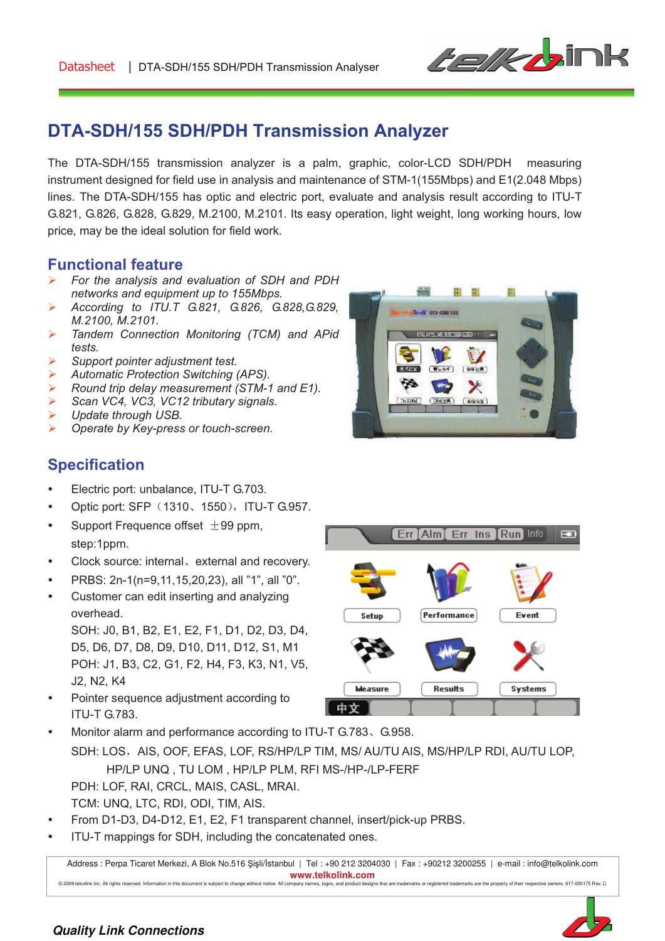

# **DTA-SDH/155 SDH/PDH Transmission Analyzer**

The DTA-SDH/155 transmission analyzer is a palm, graphic, color-LCD SDH/PDH measuring instrument designed for field use in analysis and maintenance of STM-1(155Mbps) and E1(2.048 Mbps) lines. The DTA-SDH/155 has optic and electric port, evaluate and analysis result according to ITU-T G.821, G.826, G.828, G.829, M.2100, M.2101. Its easy operation, light weight, long working hours, low price, may be the ideal solution for field work.

### **Functional feature**

- ! *For the analysis and evaluation of SDH and PDH networks and equipment up to 155Mbps.*
- ! *According to ITU.T G.821, G.826, G.828,G.829, M.2100, M.2101.*
- ! *Tandem Connection Monitoring (TCM) and APid tests.*
- ! *Support pointer adjustment test.*
- ! *Automatic Protection Switching (APS).*
- ! *Round trip delay measurement (STM-1 and E1).*
- ! *Scan VC4, VC3, VC12 tributary signals.*
- ! *Update through USB.*
- ! *Operate by Key-press or touch-screen.*



**Err Alm Err Ins Run Info** 

Performance

### **Specification**

- Electric port: unbalance, ITU-T G.703.
- Optic port: SFP (1310, 1550), ITU-T G.957.
- Support Frequence offset  $\pm$ 99 ppm, step:1ppm.
- Clock source: internal, external and recovery.
- PRBS: 2n-1(n=9,11,15,20,23), all "1", all "0".
- Customer can edit inserting and analyzing overhead.

SOH: J0, B1, B2, E1, E2, F1, D1, D2, D3, D4, D5, D6, D7, D8, D9, D10, D11, D12, S1, M1 POH: J1, B3, C2, G1, F2, H4, F3, K3, N1, V5, J2, N2, K4

Pointer sequence adjustment according to ITU-T G.783.



Setun

SDH: LOS, AIS, OOF, EFAS, LOF, RS/HP/LP TIM, MS/ AU/TU AIS, MS/HP/LP RDI, AU/TU LOP, HP/LP UNQ , TU LOM , HP/LP PLM, RFI MS-/HP-/LP-FERF PDH: LOF, RAI, CRCL, MAIS, CASL, MRAI. TCM: UNQ, LTC, RDI, ODI, TIM, AIS.

- From D1-D3, D4-D12, E1, E2, F1 transparent channel, insert/pick-up PRBS.
- ITU-T mappings for SDH, including the concatenated ones.

Address : Perpa Ticaret Merkezi, A Blok No.516 Şişli/İstanbul | Tel : +90 212 3204030 | Fax : +90212 3200255 | e-mail : info@telkolink.com **www.telkolink.com**  @ 2009 telcolink Inc. All rights reserved. Information in this document is subject to change without notice. All company names, logos, and product designs that are trademarks or registered trademarks are the property of th



E.

Event

#### **Quality Link Connections**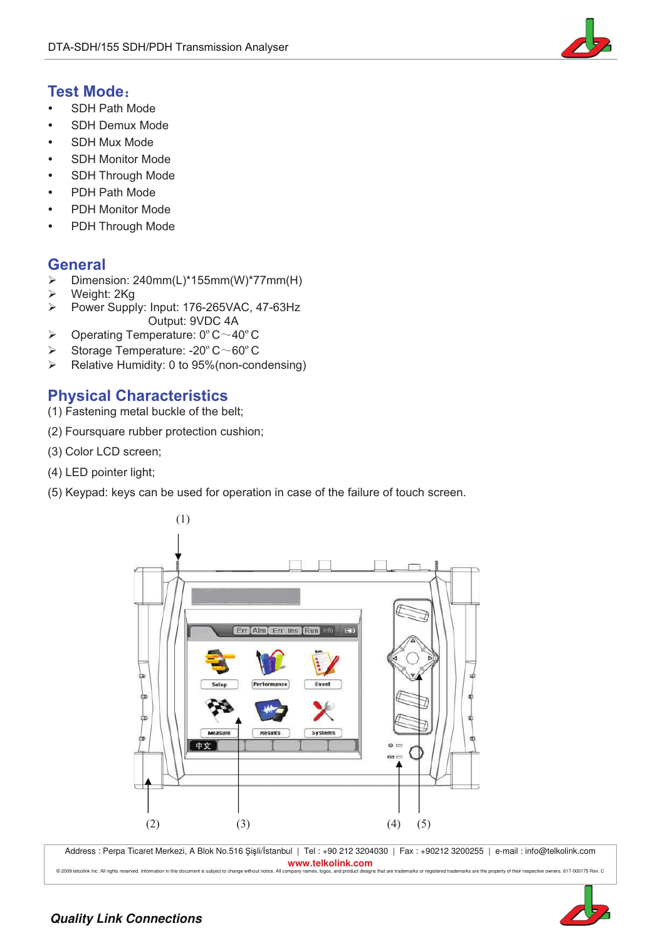

### **Test Mode:**

- " SDH Path Mode
- SDH Demux Mode
- " SDH Mux Mode
- SDH Monitor Mode
- SDH Through Mode
- PDH Path Mode
- PDH Monitor Mode
- PDH Through Mode

#### **General**

- ! Dimension: 240mm(L)\*155mm(W)\*77mm(H)
- $\triangleright$  Weight: 2Kg
- Power Supply: Input: 176-265VAC, 47-63Hz Output: 9VDC 4A
- $\triangleright$  Operating Temperature: 0°C $\sim$ 40°C
- $\triangleright$  Storage Temperature: -20 $\degree$ C $\sim$ 60 $\degree$ C
- $\triangleright$  Relative Humidity: 0 to 95% (non-condensing)

### **Physical Characteristics**

- (1) Fastening metal buckle of the belt;
- (2) Foursquare rubber protection cushion;
- (3) Color LCD screen;
- (4) LED pointer light;
- (5) Keypad: keys can be used for operation in case of the failure of touch screen.



Address : Perpa Ticaret Merkezi, A Blok No.516 Şişli/İstanbul | Tel : +90 212 3204030 | Fax : +90212 3200255 | e-mail : info@telkolink.com **www.telkolink.com** 



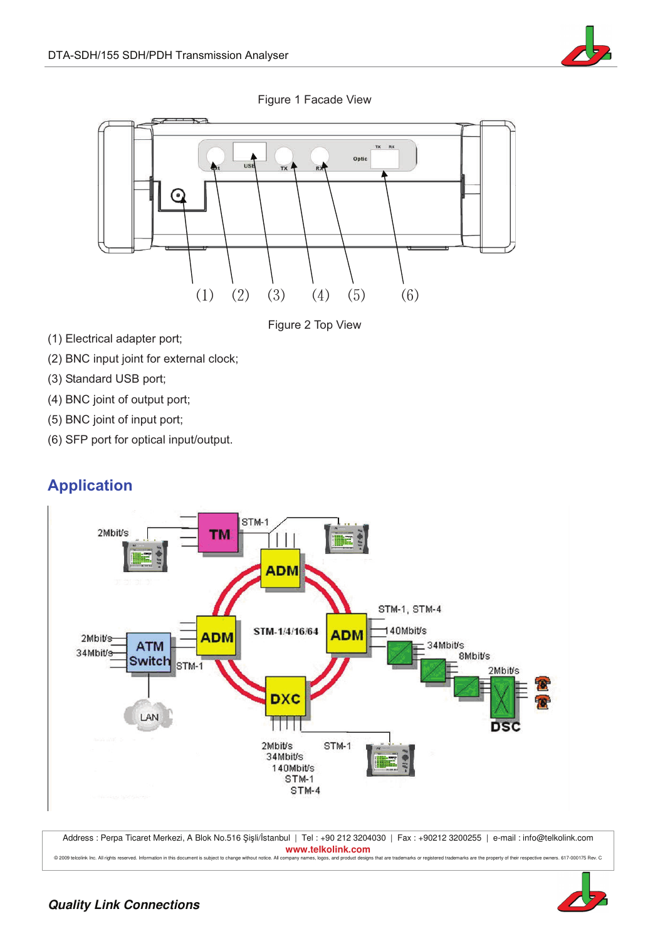

Figure 1 Facade View



Figure 2 Top View

- (1) Electrical adapter port;
- (2) BNC input joint for external clock;
- (3) Standard USB port;
- (4) BNC joint of output port;
- (5) BNC joint of input port;
- (6) SFP port for optical input/output.

### **Application**



Address : Perpa Ticaret Merkezi, A Blok No.516 Şişli/İstanbul | Tel : +90 212 3204030 | Fax : +90212 3200255 | e-mail : info@telkolink.com **www.telkolink.com**  @ 2009 teloolink Inc. All rights reserved. Information in this document is subject to change without notice. All company names, logos, and product designs that are trademarks or registered trademarks are the property of th